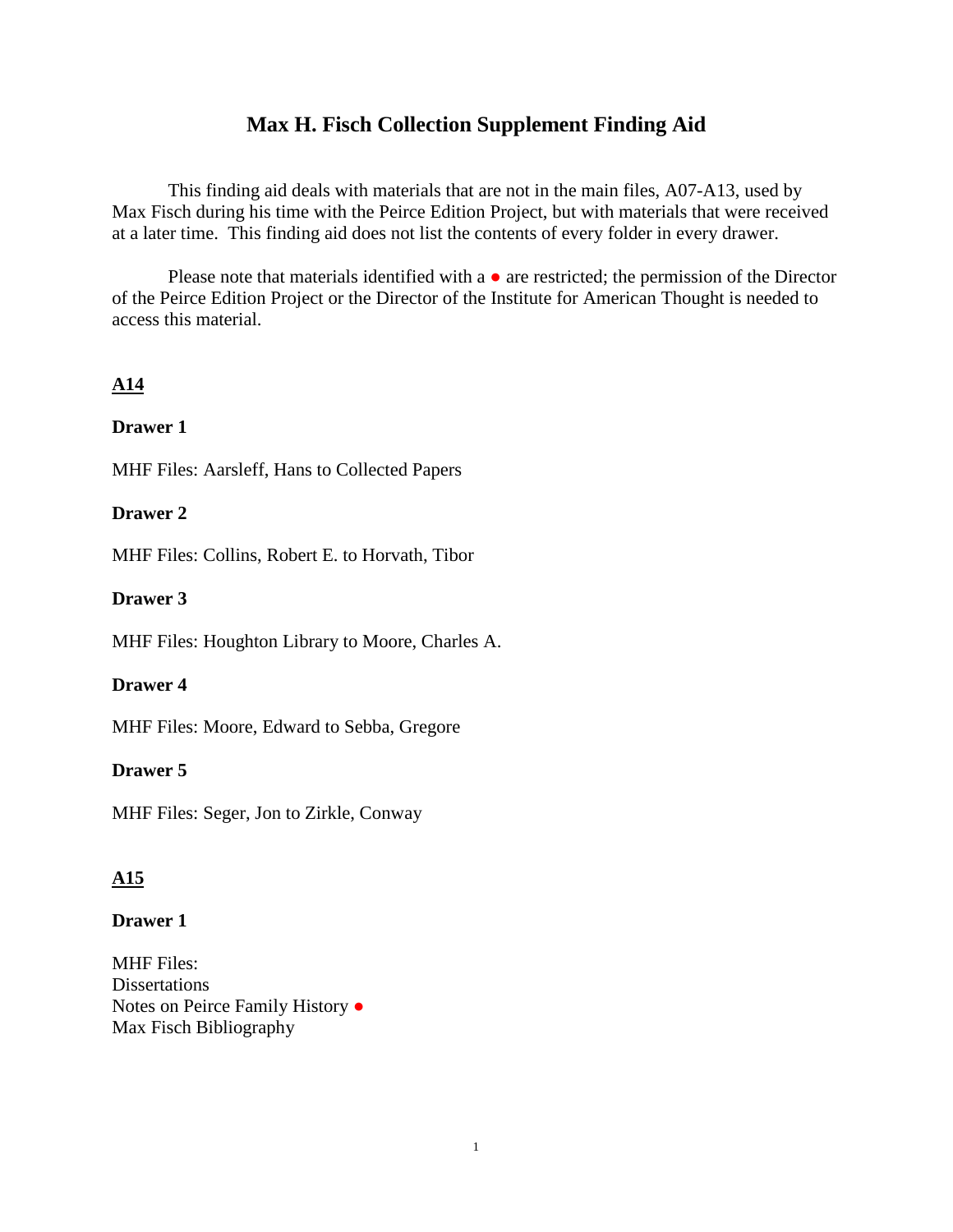## **Max H. Fisch Collection Supplement Finding Aid**

This finding aid deals with materials that are not in the main files, A07-A13, used by Max Fisch during his time with the Peirce Edition Project, but with materials that were received at a later time. This finding aid does not list the contents of every folder in every drawer.

Please note that materials identified with a  $\bullet$  are restricted; the permission of the Director of the Peirce Edition Project or the Director of the Institute for American Thought is needed to access this material.

## **A14**

### **Drawer 1**

MHF Files: Aarsleff, Hans to Collected Papers

### **Drawer 2**

MHF Files: Collins, Robert E. to Horvath, Tibor

### **Drawer 3**

MHF Files: Houghton Library to Moore, Charles A.

### **Drawer 4**

MHF Files: Moore, Edward to Sebba, Gregore

### **Drawer 5**

MHF Files: Seger, Jon to Zirkle, Conway

## **A15**

### **Drawer 1**

MHF Files: **Dissertations** Notes on Peirce Family History ● Max Fisch Bibliography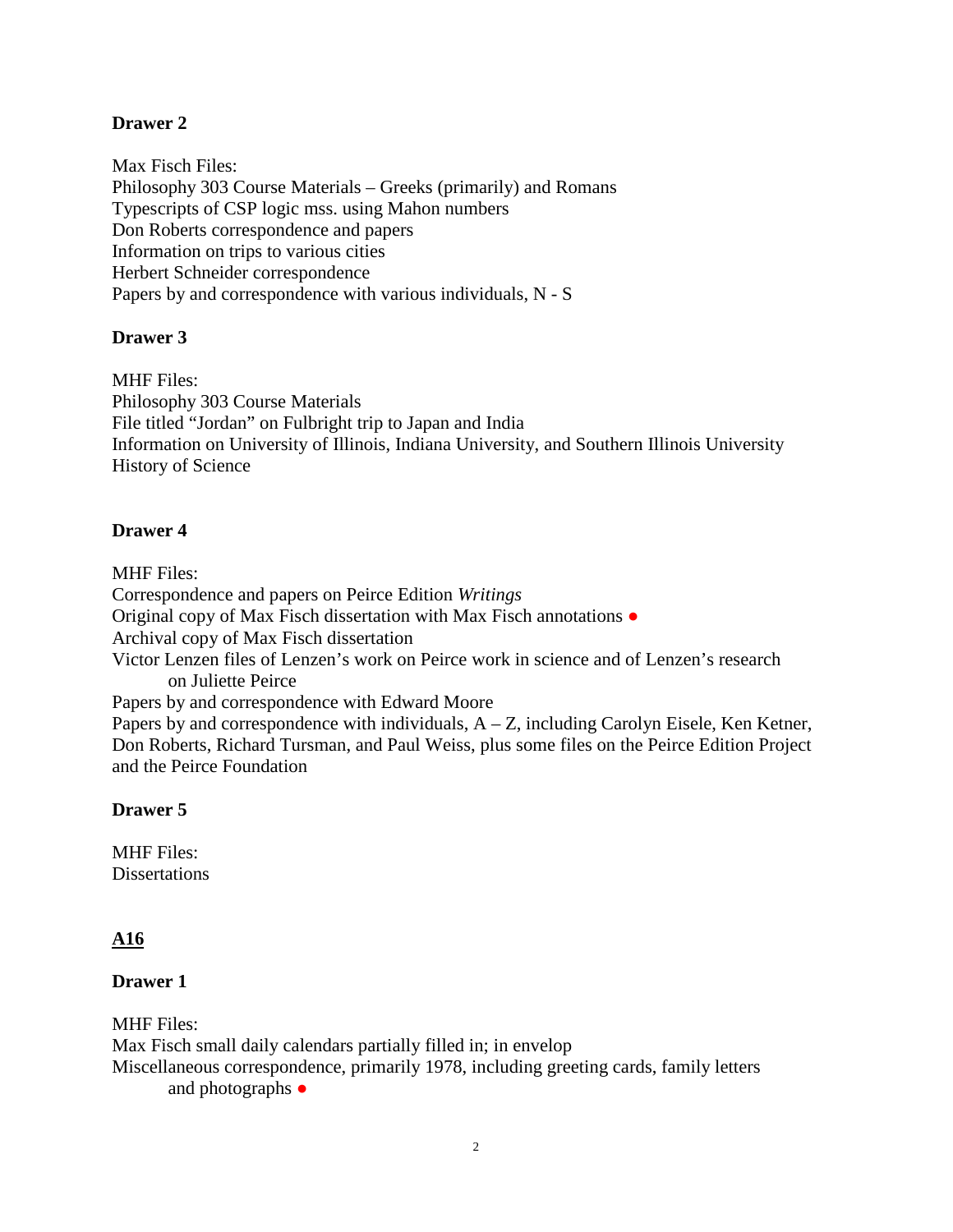Max Fisch Files: Philosophy 303 Course Materials – Greeks (primarily) and Romans Typescripts of CSP logic mss. using Mahon numbers Don Roberts correspondence and papers Information on trips to various cities Herbert Schneider correspondence Papers by and correspondence with various individuals, N - S

### **Drawer 3**

MHF Files: Philosophy 303 Course Materials File titled "Jordan" on Fulbright trip to Japan and India Information on University of Illinois, Indiana University, and Southern Illinois University History of Science

### **Drawer 4**

MHF Files:

Correspondence and papers on Peirce Edition *Writings* Original copy of Max Fisch dissertation with Max Fisch annotations ● Archival copy of Max Fisch dissertation Victor Lenzen files of Lenzen's work on Peirce work in science and of Lenzen's research on Juliette Peirce Papers by and correspondence with Edward Moore Papers by and correspondence with individuals,  $A - Z$ , including Carolyn Eisele, Ken Ketner, Don Roberts, Richard Tursman, and Paul Weiss, plus some files on the Peirce Edition Project and the Peirce Foundation

## **Drawer 5**

MHF Files: **Dissertations** 

## **A16**

## **Drawer 1**

MHF Files: Max Fisch small daily calendars partially filled in; in envelop Miscellaneous correspondence, primarily 1978, including greeting cards, family letters and photographs  $\bullet$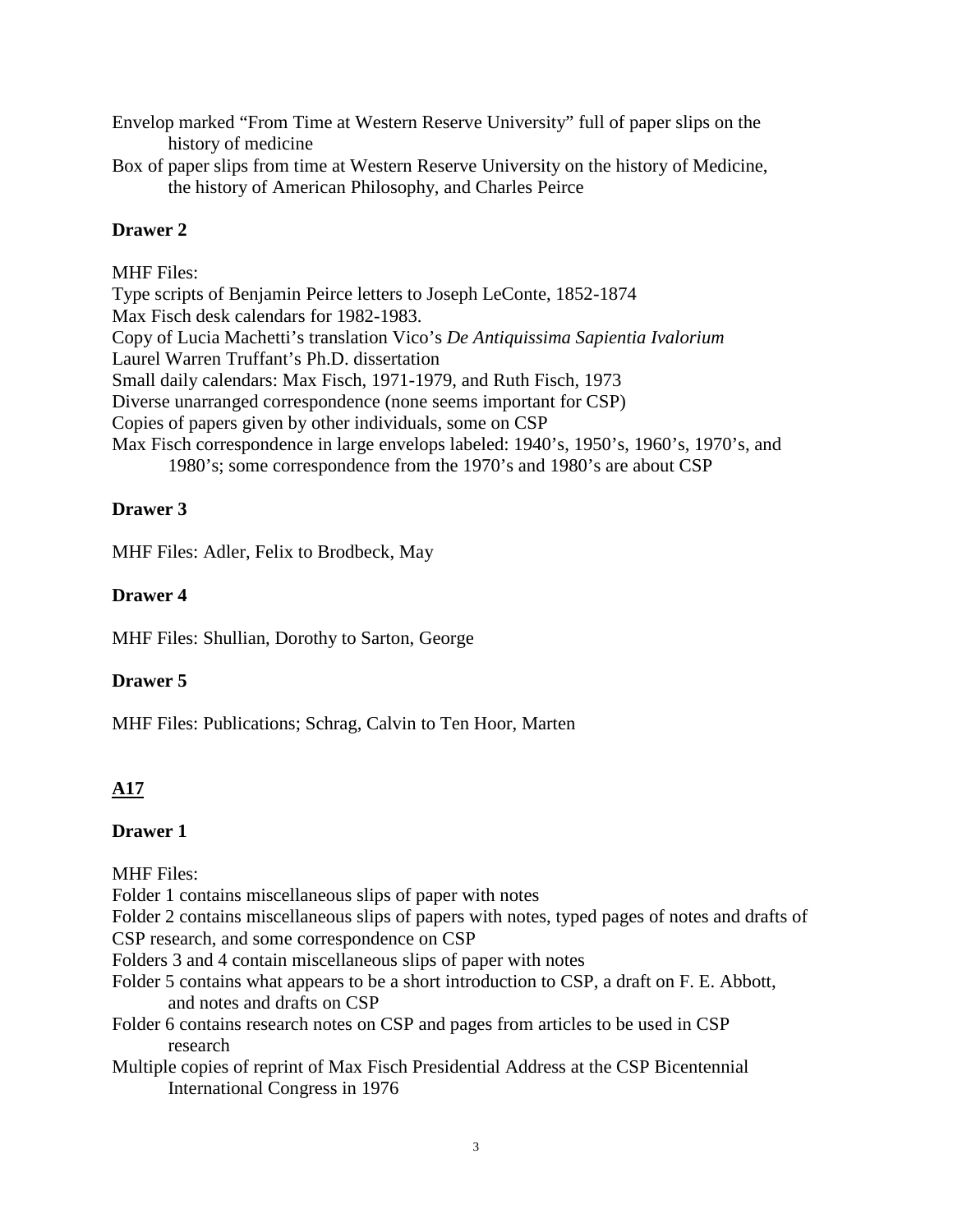Envelop marked "From Time at Western Reserve University" full of paper slips on the history of medicine

Box of paper slips from time at Western Reserve University on the history of Medicine, the history of American Philosophy, and Charles Peirce

## **Drawer 2**

## MHF Files:

Type scripts of Benjamin Peirce letters to Joseph LeConte, 1852-1874 Max Fisch desk calendars for 1982-1983. Copy of Lucia Machetti's translation Vico's *De Antiquissima Sapientia Ivalorium* Laurel Warren Truffant's Ph.D. dissertation Small daily calendars: Max Fisch, 1971-1979, and Ruth Fisch, 1973 Diverse unarranged correspondence (none seems important for CSP) Copies of papers given by other individuals, some on CSP Max Fisch correspondence in large envelops labeled: 1940's, 1950's, 1960's, 1970's, and 1980's; some correspondence from the 1970's and 1980's are about CSP

## **Drawer 3**

MHF Files: Adler, Felix to Brodbeck, May

## **Drawer 4**

MHF Files: Shullian, Dorothy to Sarton, George

## **Drawer 5**

MHF Files: Publications; Schrag, Calvin to Ten Hoor, Marten

# **A17**

## **Drawer 1**

MHF Files:

Folder 1 contains miscellaneous slips of paper with notes

Folder 2 contains miscellaneous slips of papers with notes, typed pages of notes and drafts of

CSP research, and some correspondence on CSP

- Folders 3 and 4 contain miscellaneous slips of paper with notes
- Folder 5 contains what appears to be a short introduction to CSP, a draft on F. E. Abbott, and notes and drafts on CSP
- Folder 6 contains research notes on CSP and pages from articles to be used in CSP research
- Multiple copies of reprint of Max Fisch Presidential Address at the CSP Bicentennial International Congress in 1976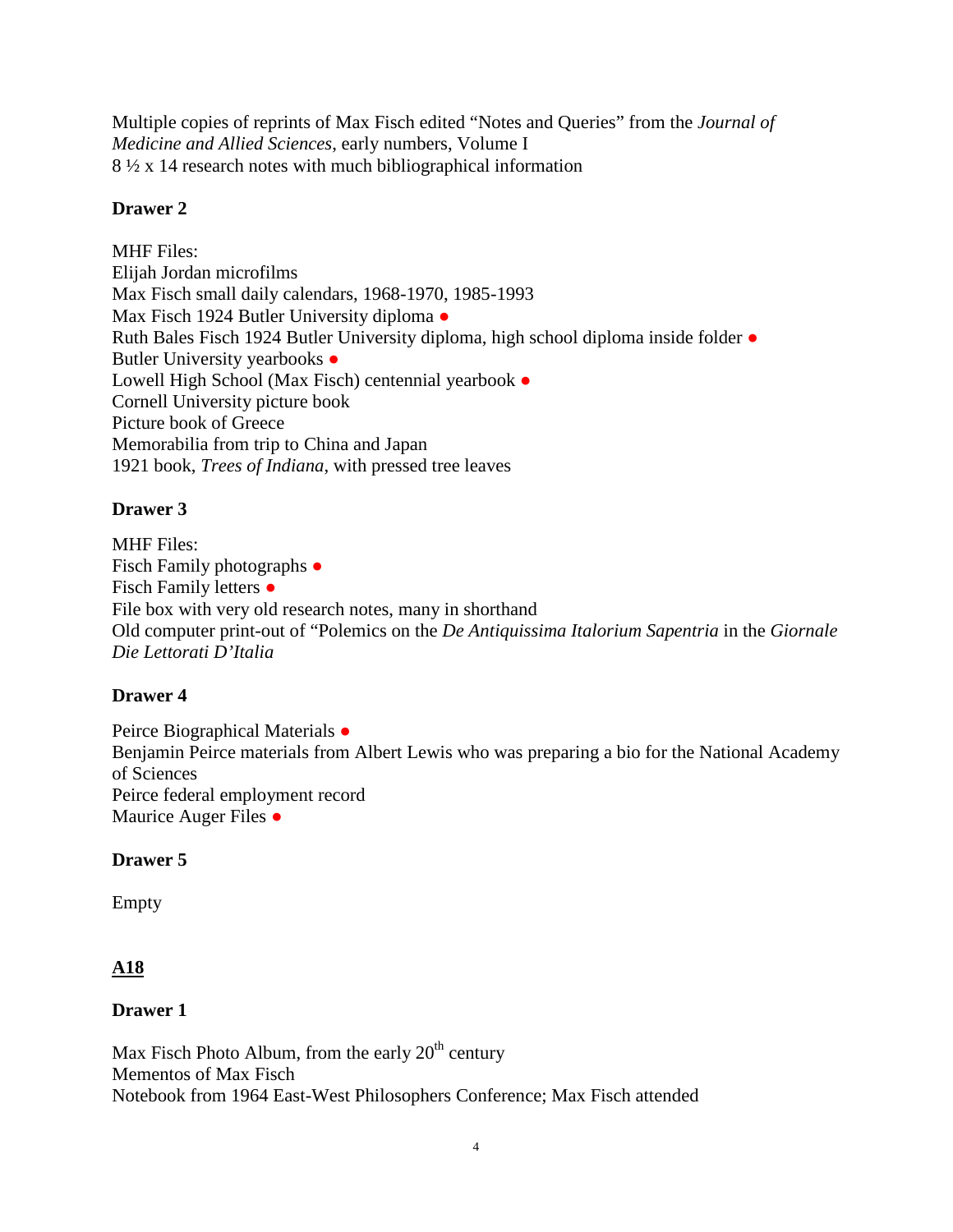Multiple copies of reprints of Max Fisch edited "Notes and Queries" from the *Journal of Medicine and Allied Sciences*, early numbers, Volume I 8 ½ x 14 research notes with much bibliographical information

## **Drawer 2**

MHF Files: Elijah Jordan microfilms Max Fisch small daily calendars, 1968-1970, 1985-1993 Max Fisch 1924 Butler University diploma • Ruth Bales Fisch 1924 Butler University diploma, high school diploma inside folder ● Butler University yearbooks • Lowell High School (Max Fisch) centennial yearbook ● Cornell University picture book Picture book of Greece Memorabilia from trip to China and Japan 1921 book, *Trees of Indiana*, with pressed tree leaves

## **Drawer 3**

MHF Files: Fisch Family photographs ● Fisch Family letters ● File box with very old research notes, many in shorthand Old computer print-out of "Polemics on the *De Antiquissima Italorium Sapentria* in the *Giornale Die Lettorati D'Italia*

## **Drawer 4**

Peirce Biographical Materials ● Benjamin Peirce materials from Albert Lewis who was preparing a bio for the National Academy of Sciences Peirce federal employment record Maurice Auger Files ●

## **Drawer 5**

Empty

## **A18**

## **Drawer 1**

Max Fisch Photo Album, from the early  $20<sup>th</sup>$  century Mementos of Max Fisch Notebook from 1964 East-West Philosophers Conference; Max Fisch attended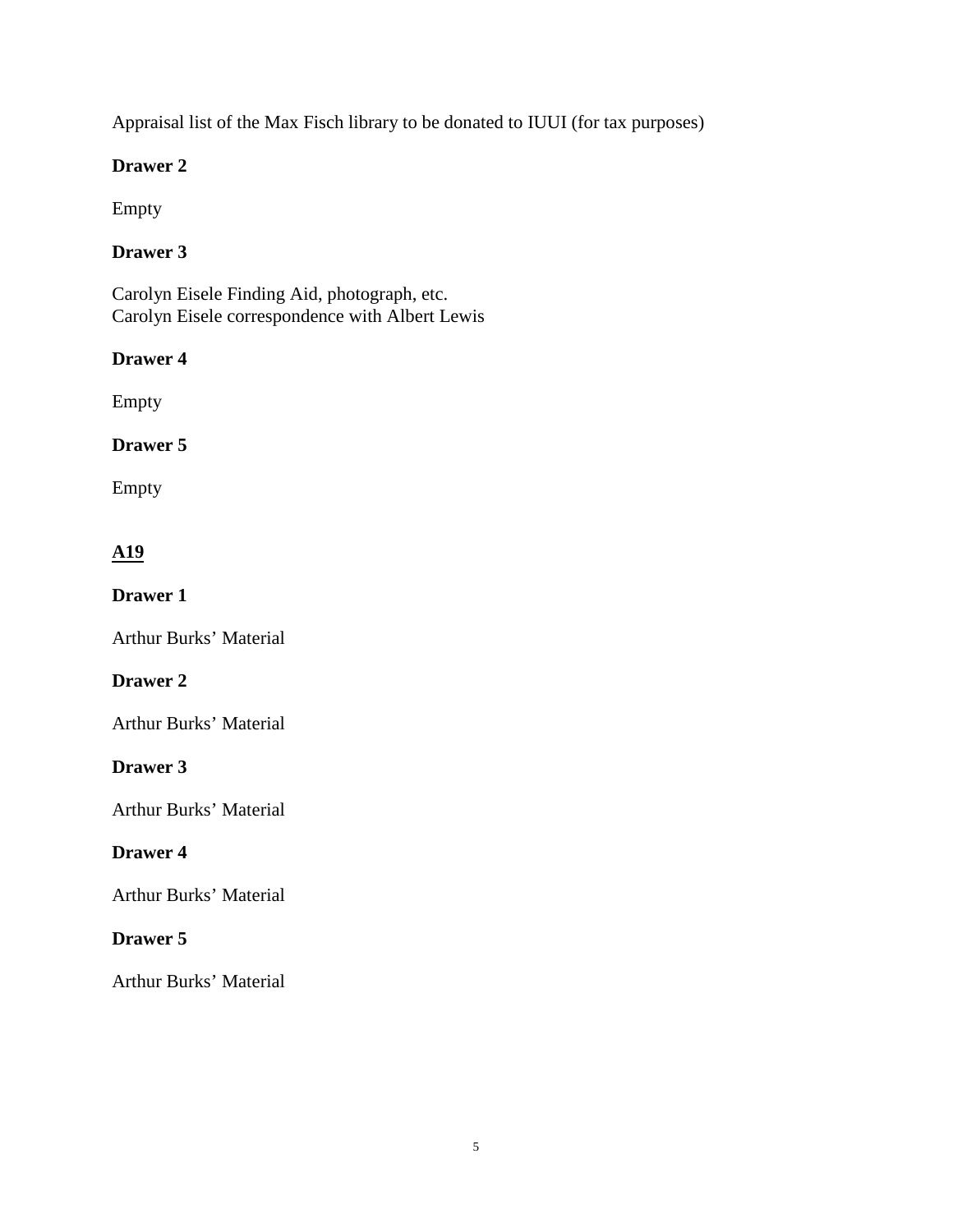Appraisal list of the Max Fisch library to be donated to IUUI (for tax purposes)

## **Drawer 2**

Empty

# **Drawer 3**

Carolyn Eisele Finding Aid, photograph, etc. Carolyn Eisele correspondence with Albert Lewis

## **Drawer 4**

Empty

## **Drawer 5**

Empty

# **A19**

**Drawer 1**

Arthur Burks' Material

## **Drawer 2**

Arthur Burks' Material

## **Drawer 3**

Arthur Burks' Material

## **Drawer 4**

Arthur Burks' Material

## **Drawer 5**

Arthur Burks' Material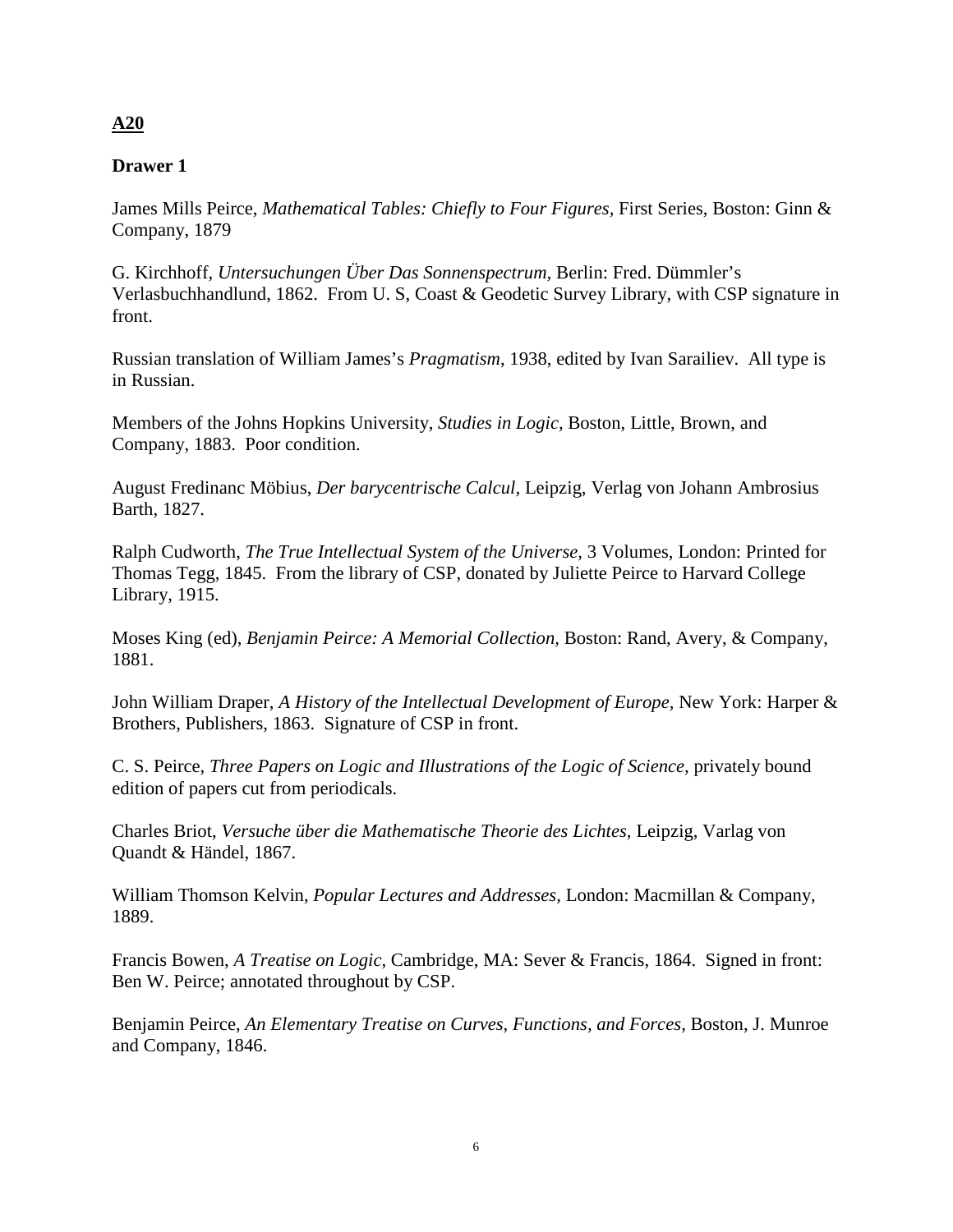## **A20**

## **Drawer 1**

James Mills Peirce, *Mathematical Tables: Chiefly to Four Figures,* First Series, Boston: Ginn & Company, 1879

G. Kirchhoff, *Untersuchungen Über Das Sonnenspectrum,* Berlin: Fred. Dümmler's Verlasbuchhandlund, 1862. From U. S, Coast & Geodetic Survey Library, with CSP signature in front.

Russian translation of William James's *Pragmatism*, 1938, edited by Ivan Sarailiev. All type is in Russian.

Members of the Johns Hopkins University, *Studies in Logic,* Boston, Little, Brown, and Company, 1883. Poor condition.

August Fredinanc Möbius, *Der barycentrische Calcul,* Leipzig, Verlag von Johann Ambrosius Barth, 1827.

Ralph Cudworth, *The True Intellectual System of the Universe,* 3 Volumes, London: Printed for Thomas Tegg, 1845. From the library of CSP, donated by Juliette Peirce to Harvard College Library, 1915.

Moses King (ed), *Benjamin Peirce: A Memorial Collection,* Boston: Rand, Avery, & Company, 1881.

John William Draper, *A History of the Intellectual Development of Europe,* New York: Harper & Brothers, Publishers, 1863. Signature of CSP in front.

C. S. Peirce, *Three Papers on Logic and Illustrations of the Logic of Science,* privately bound edition of papers cut from periodicals.

Charles Briot, *Versuche über die Mathematische Theorie des Lichtes,* Leipzig, Varlag von Quandt & Händel, 1867.

William Thomson Kelvin, *Popular Lectures and Addresses,* London: Macmillan & Company, 1889.

Francis Bowen, *A Treatise on Logic,* Cambridge, MA: Sever & Francis, 1864. Signed in front: Ben W. Peirce; annotated throughout by CSP.

Benjamin Peirce, *An Elementary Treatise on Curves, Functions, and Forces,* Boston, J. Munroe and Company, 1846.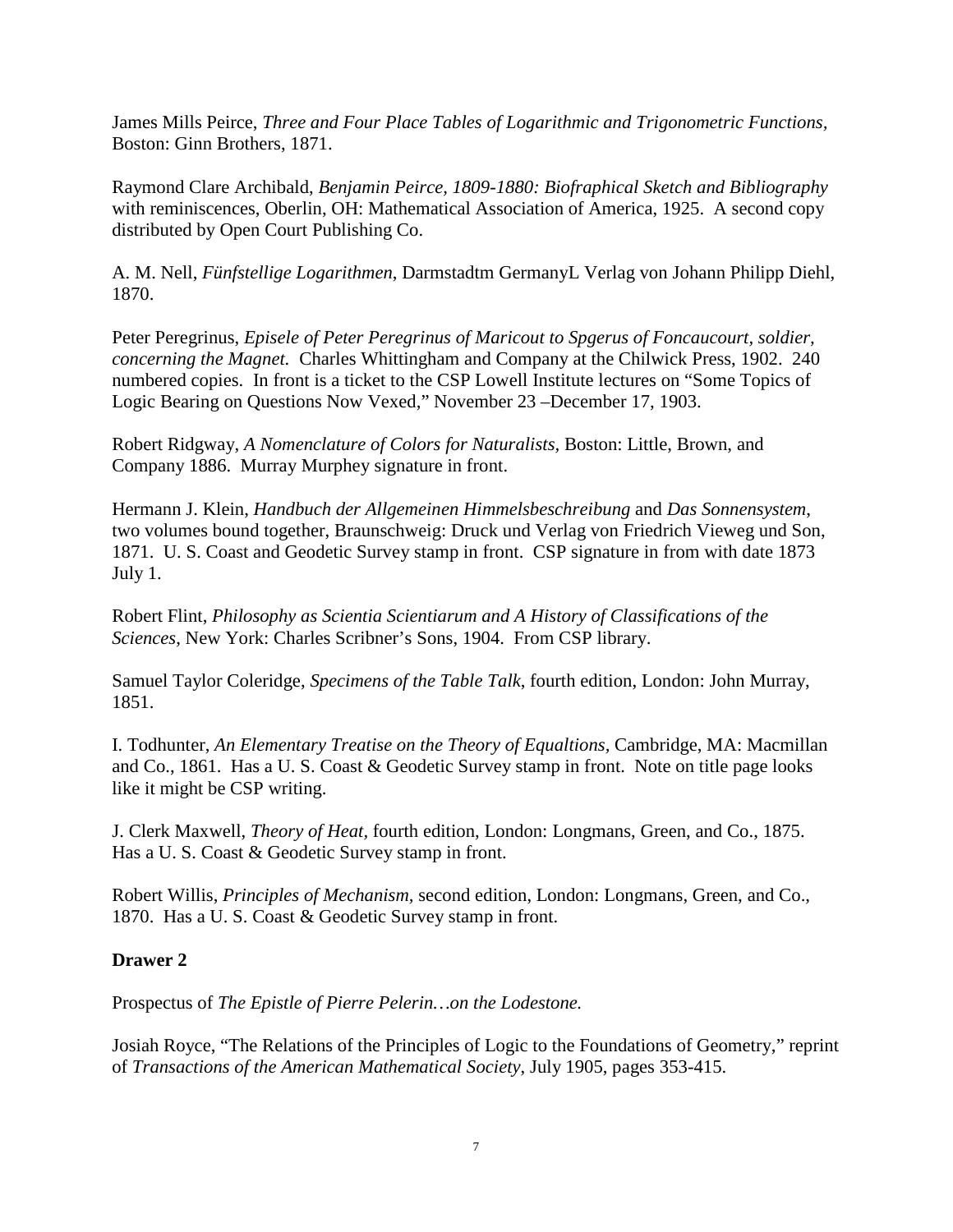James Mills Peirce, *Three and Four Place Tables of Logarithmic and Trigonometric Functions,*  Boston: Ginn Brothers, 1871.

Raymond Clare Archibald, *Benjamin Peirce, 1809-1880: Biofraphical Sketch and Bibliography* with reminiscences, Oberlin, OH: Mathematical Association of America, 1925. A second copy distributed by Open Court Publishing Co.

A. M. Nell, *Fünfstellige Logarithmen*, Darmstadtm GermanyL Verlag von Johann Philipp Diehl, 1870.

Peter Peregrinus, *Episele of Peter Peregrinus of Maricout to Spgerus of Foncaucourt, soldier, concerning the Magnet.* Charles Whittingham and Company at the Chilwick Press, 1902. 240 numbered copies. In front is a ticket to the CSP Lowell Institute lectures on "Some Topics of Logic Bearing on Questions Now Vexed," November 23 –December 17, 1903.

Robert Ridgway, *A Nomenclature of Colors for Naturalists,* Boston: Little, Brown, and Company 1886. Murray Murphey signature in front.

Hermann J. Klein, *Handbuch der Allgemeinen Himmelsbeschreibung* and *Das Sonnensystem*, two volumes bound together, Braunschweig: Druck und Verlag von Friedrich Vieweg und Son, 1871. U. S. Coast and Geodetic Survey stamp in front. CSP signature in from with date 1873 July 1.

Robert Flint, *Philosophy as Scientia Scientiarum and A History of Classifications of the Sciences*, New York: Charles Scribner's Sons, 1904. From CSP library.

Samuel Taylor Coleridge, *Specimens of the Table Talk*, fourth edition, London: John Murray, 1851.

I. Todhunter, *An Elementary Treatise on the Theory of Equaltions,* Cambridge, MA: Macmillan and Co., 1861. Has a U. S. Coast & Geodetic Survey stamp in front. Note on title page looks like it might be CSP writing.

J. Clerk Maxwell, *Theory of Heat,* fourth edition, London: Longmans, Green, and Co., 1875. Has a U. S. Coast & Geodetic Survey stamp in front.

Robert Willis, *Principles of Mechanism,* second edition, London: Longmans, Green, and Co., 1870. Has a U. S. Coast & Geodetic Survey stamp in front.

### **Drawer 2**

Prospectus of *The Epistle of Pierre Pelerin…on the Lodestone.*

Josiah Royce, "The Relations of the Principles of Logic to the Foundations of Geometry," reprint of *Transactions of the American Mathematical Society*, July 1905, pages 353-415.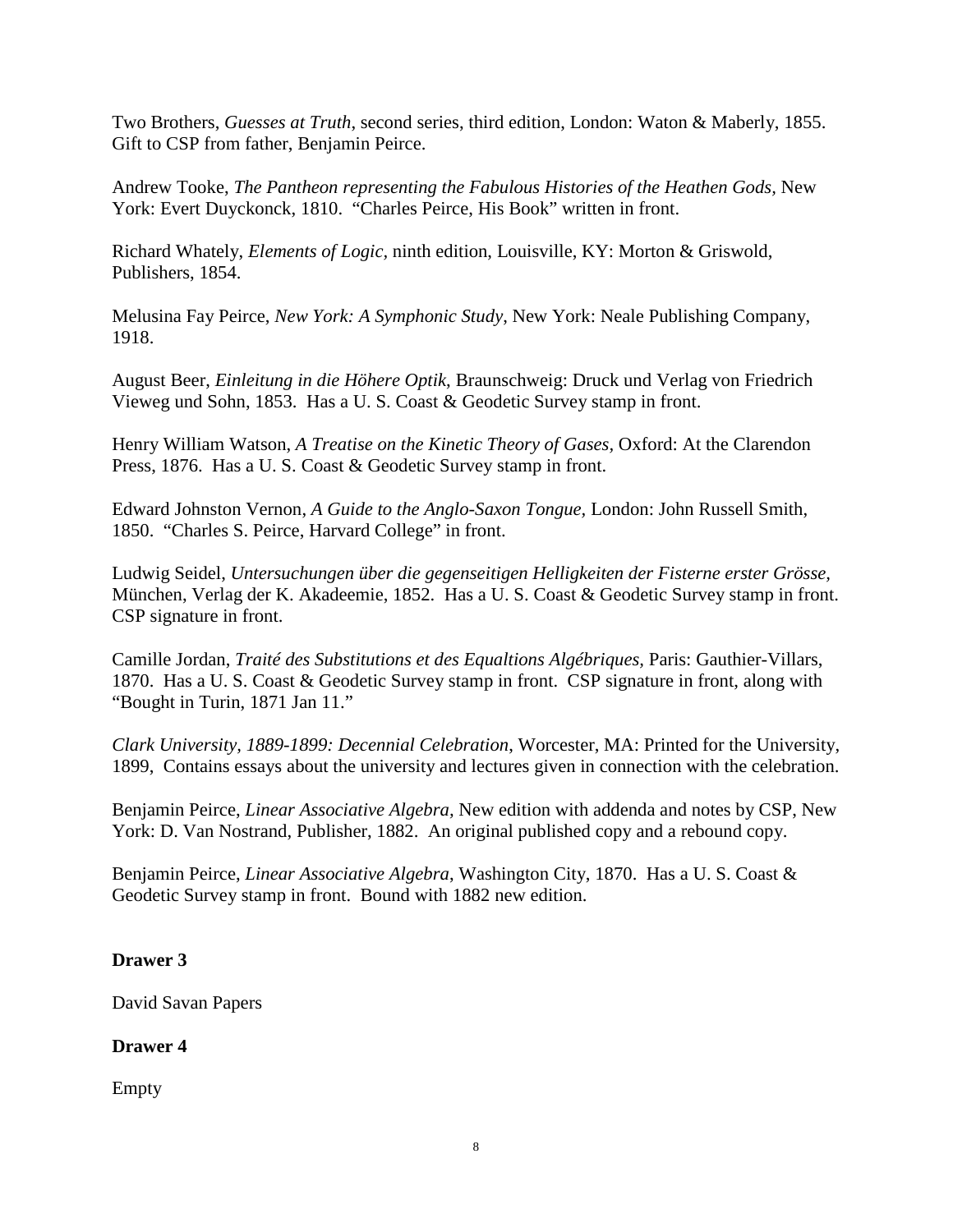Two Brothers, *Guesses at Truth*, second series, third edition, London: Waton & Maberly, 1855. Gift to CSP from father, Benjamin Peirce.

Andrew Tooke, *The Pantheon representing the Fabulous Histories of the Heathen Gods,* New York: Evert Duyckonck, 1810. "Charles Peirce, His Book" written in front.

Richard Whately, *Elements of Logic,* ninth edition, Louisville, KY: Morton & Griswold, Publishers, 1854.

Melusina Fay Peirce, *New York: A Symphonic Study*, New York: Neale Publishing Company, 1918.

August Beer, *Einleitung in die Höhere Optik*, Braunschweig: Druck und Verlag von Friedrich Vieweg und Sohn, 1853. Has a U. S. Coast & Geodetic Survey stamp in front.

Henry William Watson, *A Treatise on the Kinetic Theory of Gases,* Oxford: At the Clarendon Press, 1876. Has a U. S. Coast & Geodetic Survey stamp in front.

Edward Johnston Vernon, *A Guide to the Anglo-Saxon Tongue,* London: John Russell Smith, 1850. "Charles S. Peirce, Harvard College" in front.

Ludwig Seidel, *Untersuchungen über die gegenseitigen Helligkeiten der Fisterne erster Grösse,*  München, Verlag der K. Akadeemie, 1852. Has a U. S. Coast & Geodetic Survey stamp in front. CSP signature in front.

Camille Jordan, *Traité des Substitutions et des Equaltions Algébriques,* Paris: Gauthier-Villars, 1870. Has a U. S. Coast & Geodetic Survey stamp in front. CSP signature in front, along with "Bought in Turin, 1871 Jan 11."

*Clark University, 1889-1899: Decennial Celebration*, Worcester, MA: Printed for the University, 1899, Contains essays about the university and lectures given in connection with the celebration.

Benjamin Peirce, *Linear Associative Algebra,* New edition with addenda and notes by CSP, New York: D. Van Nostrand, Publisher, 1882. An original published copy and a rebound copy.

Benjamin Peirce, *Linear Associative Algebra*, Washington City, 1870. Has a U. S. Coast & Geodetic Survey stamp in front. Bound with 1882 new edition.

## **Drawer 3**

David Savan Papers

## **Drawer 4**

Empty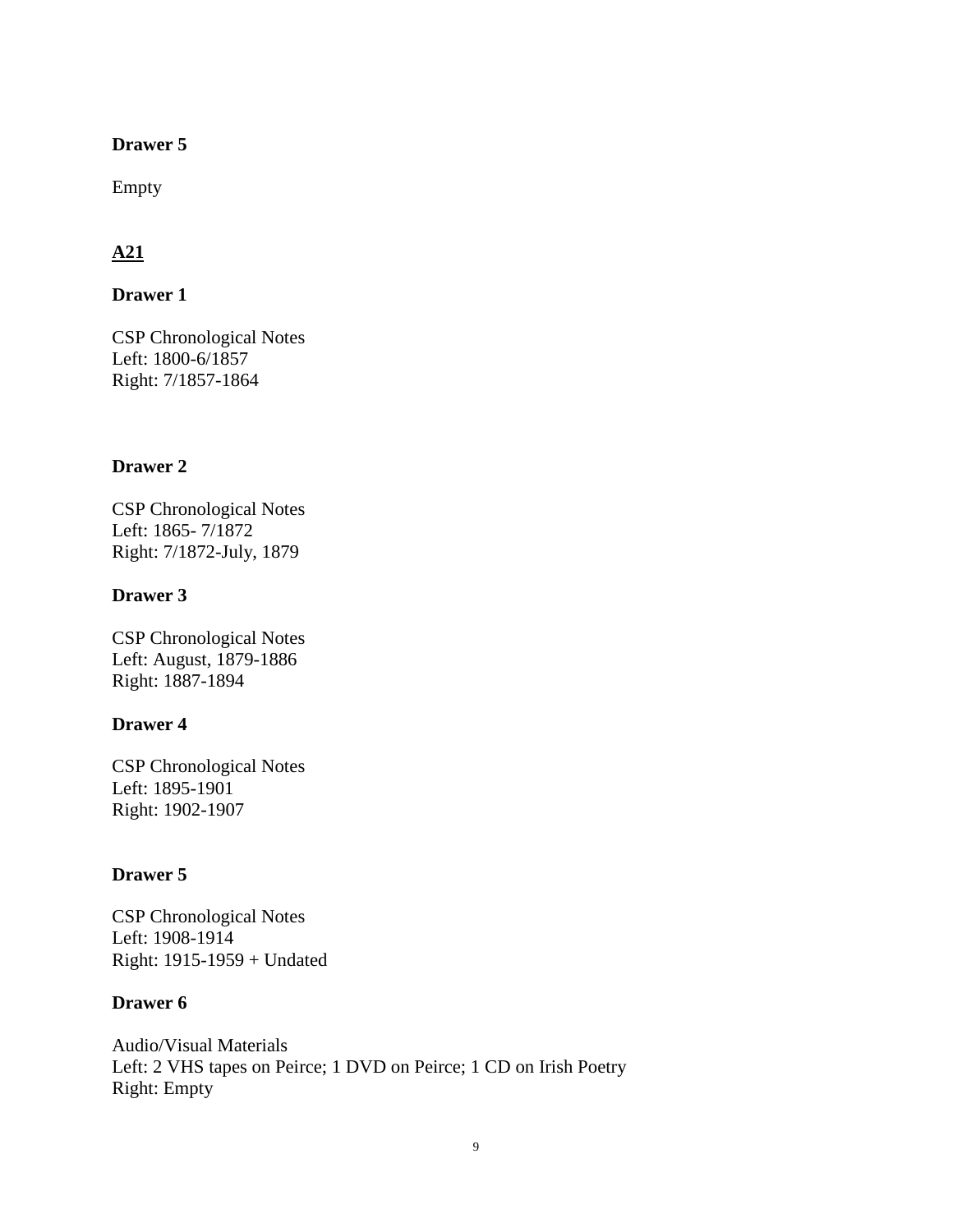Empty

## **A21**

### **Drawer 1**

CSP Chronological Notes Left: 1800-6/1857 Right: 7/1857-1864

### **Drawer 2**

CSP Chronological Notes Left: 1865- 7/1872 Right: 7/1872-July, 1879

### **Drawer 3**

CSP Chronological Notes Left: August, 1879-1886 Right: 1887-1894

### **Drawer 4**

CSP Chronological Notes Left: 1895-1901 Right: 1902-1907

## **Drawer 5**

CSP Chronological Notes Left: 1908-1914 Right: 1915-1959 + Undated

### **Drawer 6**

Audio/Visual Materials Left: 2 VHS tapes on Peirce; 1 DVD on Peirce; 1 CD on Irish Poetry Right: Empty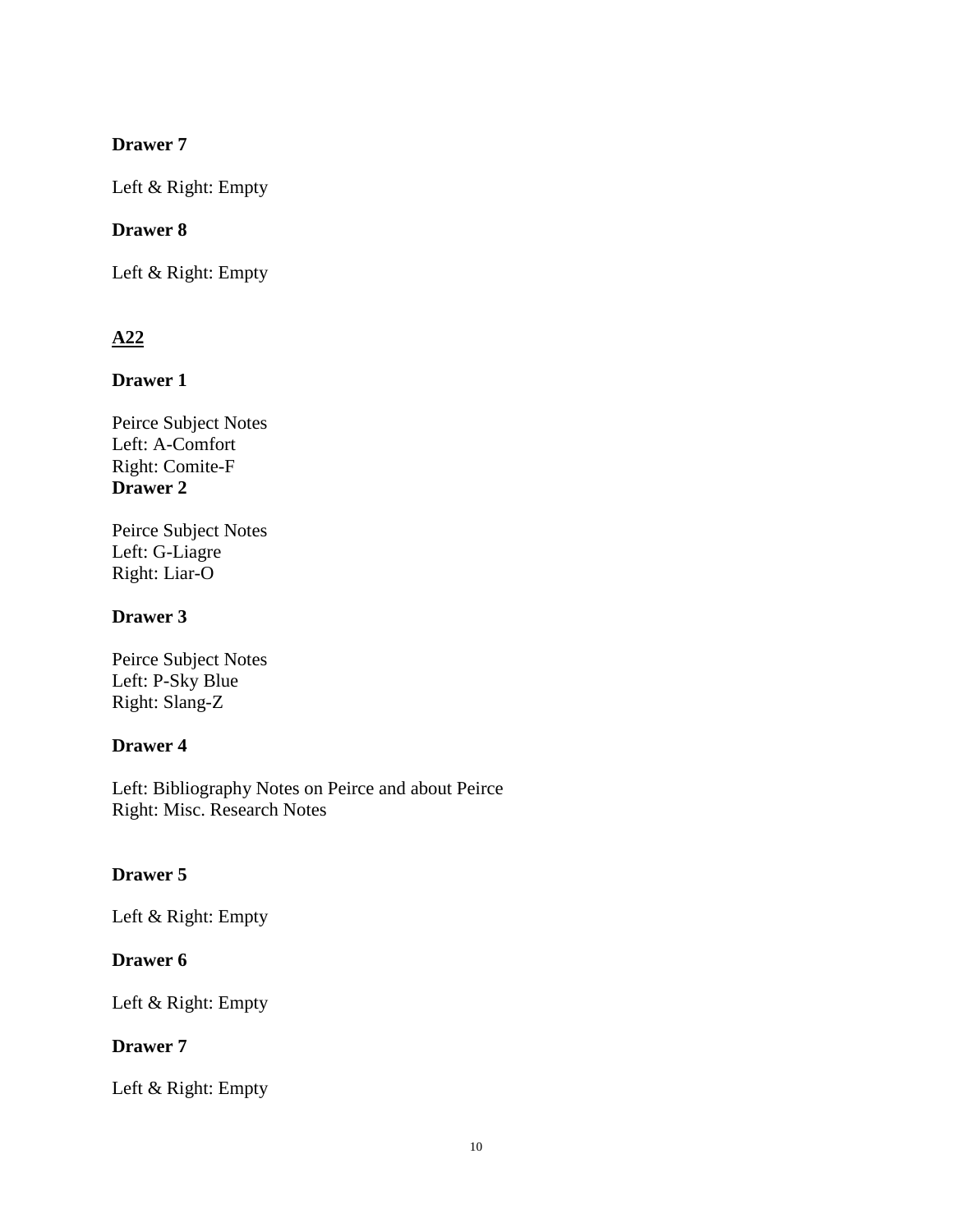Left & Right: Empty

## **Drawer 8**

Left & Right: Empty

# **A22**

## **Drawer 1**

Peirce Subject Notes Left: A-Comfort Right: Comite-F **Drawer 2**

Peirce Subject Notes Left: G-Liagre Right: Liar-O

## **Drawer 3**

Peirce Subject Notes Left: P-Sky Blue Right: Slang-Z

## **Drawer 4**

Left: Bibliography Notes on Peirce and about Peirce Right: Misc. Research Notes

## **Drawer 5**

Left & Right: Empty

## **Drawer 6**

Left & Right: Empty

## **Drawer 7**

Left & Right: Empty